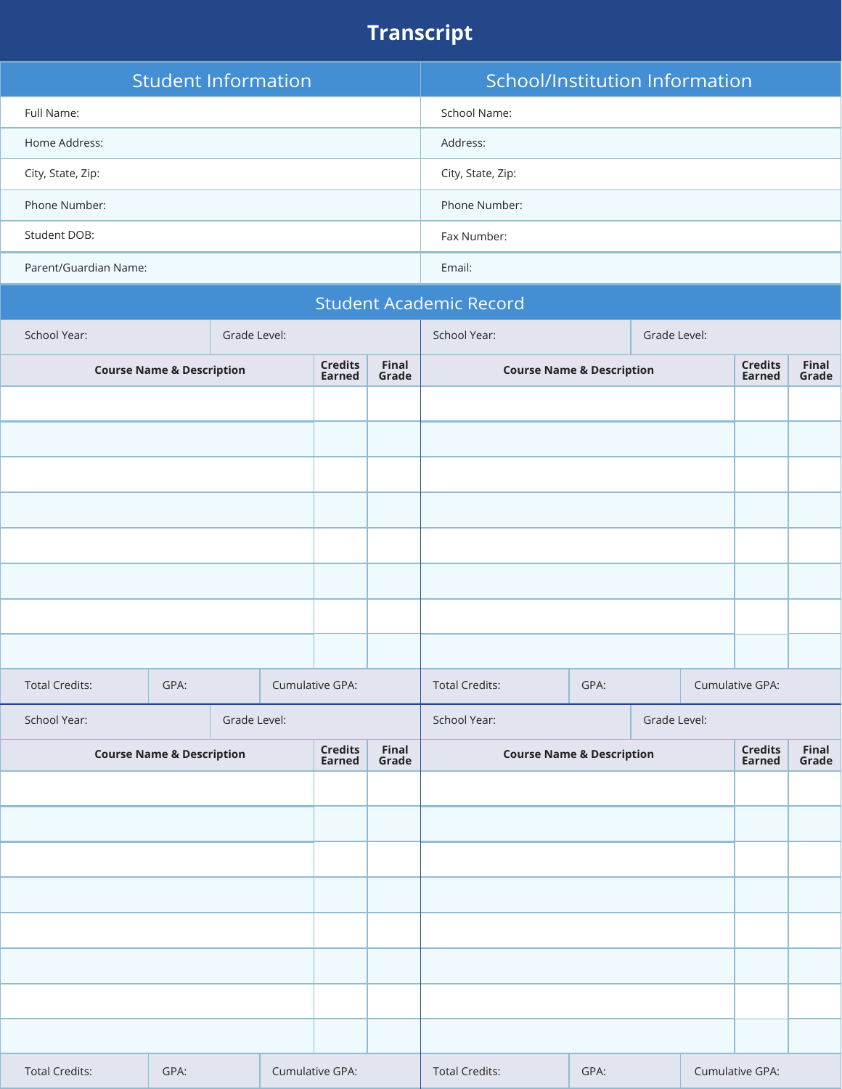# **Transcript**

| <b>Student Information</b> | School/Institution Information |
|----------------------------|--------------------------------|
| Full Name:                 | School Name:                   |
| Home Address:              | Address:                       |
| City, State, Zip:          | City, State, Zip:              |
| Phone Number:              | Phone Number:                  |
| Student DOB:               | Fax Number:                    |
| Parent/Guardian Name:      | Email:                         |

|                                      |                                      |              |                 |                          |                | <b>Student Academic Record</b>       |      |  |  |                                 |                |
|--------------------------------------|--------------------------------------|--------------|-----------------|--------------------------|----------------|--------------------------------------|------|--|--|---------------------------------|----------------|
| School Year:                         |                                      | Grade Level: |                 |                          |                | School Year:<br>Grade Level:         |      |  |  |                                 |                |
| <b>Course Name &amp; Description</b> |                                      |              |                 |                          | Final<br>Grade | <b>Course Name &amp; Description</b> |      |  |  | <b>Credits</b><br><b>Earned</b> | Final<br>Grade |
|                                      |                                      |              |                 |                          |                |                                      |      |  |  |                                 |                |
|                                      |                                      |              |                 |                          |                |                                      |      |  |  |                                 |                |
|                                      |                                      |              |                 |                          |                |                                      |      |  |  |                                 |                |
|                                      |                                      |              |                 |                          |                |                                      |      |  |  |                                 |                |
|                                      |                                      |              |                 |                          |                |                                      |      |  |  |                                 |                |
|                                      |                                      |              |                 |                          |                |                                      |      |  |  |                                 |                |
|                                      |                                      |              |                 |                          |                |                                      |      |  |  |                                 |                |
|                                      |                                      |              |                 |                          |                |                                      |      |  |  |                                 |                |
| <b>Total Credits:</b>                | GPA:                                 |              |                 | Cumulative GPA:          |                | <b>Total Credits:</b>                | GPA: |  |  | Cumulative GPA:                 |                |
| School Year:                         |                                      | Grade Level: |                 |                          |                | School Year:<br>Grade Level:         |      |  |  |                                 |                |
|                                      | <b>Course Name &amp; Description</b> |              |                 | Credits<br><b>Earned</b> | Final<br>Grade | <b>Course Name &amp; Description</b> |      |  |  | <b>Credits</b><br><b>Earned</b> | Final<br>Grade |
|                                      |                                      |              |                 |                          |                |                                      |      |  |  |                                 |                |
|                                      |                                      |              |                 |                          |                |                                      |      |  |  |                                 |                |
|                                      |                                      |              |                 |                          |                |                                      |      |  |  |                                 |                |
|                                      |                                      |              |                 |                          |                |                                      |      |  |  |                                 |                |
|                                      |                                      |              |                 |                          |                |                                      |      |  |  |                                 |                |
|                                      |                                      |              |                 |                          |                |                                      |      |  |  |                                 |                |
|                                      |                                      |              |                 |                          |                |                                      |      |  |  |                                 |                |
|                                      |                                      |              |                 |                          |                |                                      |      |  |  |                                 |                |
| <b>Total Credits:</b>                | GPA:                                 |              | Cumulative GPA: |                          |                | <b>Total Credits:</b>                | GPA: |  |  | Cumulative GPA:                 |                |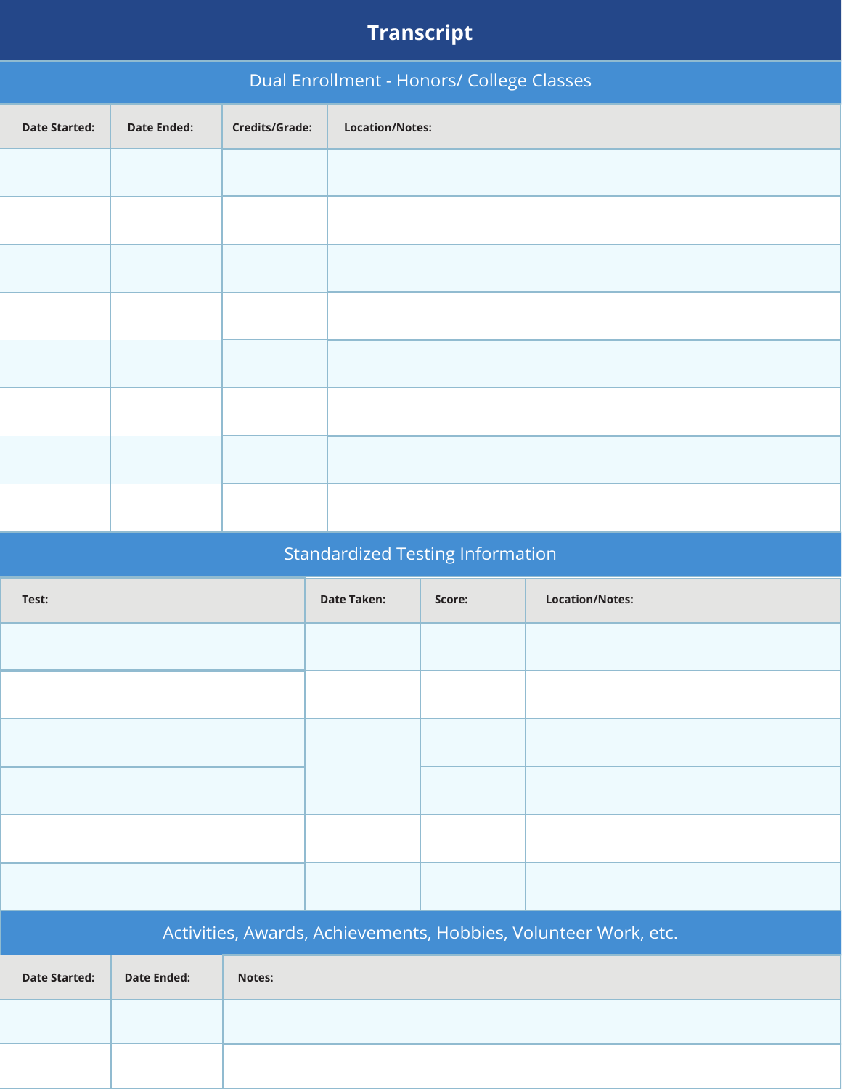# **Transcript**

| Dual Enrollment - Honors/ College Classes |                    |                |                        |  |  |  |  |
|-------------------------------------------|--------------------|----------------|------------------------|--|--|--|--|
| <b>Date Started:</b>                      | <b>Date Ended:</b> | Credits/Grade: | <b>Location/Notes:</b> |  |  |  |  |
|                                           |                    |                |                        |  |  |  |  |
|                                           |                    |                |                        |  |  |  |  |
|                                           |                    |                |                        |  |  |  |  |
|                                           |                    |                |                        |  |  |  |  |
|                                           |                    |                |                        |  |  |  |  |
|                                           |                    |                |                        |  |  |  |  |
|                                           |                    |                |                        |  |  |  |  |
|                                           |                    |                |                        |  |  |  |  |
|                                           |                    |                |                        |  |  |  |  |

## Standardized Testing Information

| Test:                |                    |        | <b>Date Taken:</b> | Score: | <b>Location/Notes:</b>                                          |
|----------------------|--------------------|--------|--------------------|--------|-----------------------------------------------------------------|
|                      |                    |        |                    |        |                                                                 |
|                      |                    |        |                    |        |                                                                 |
|                      |                    |        |                    |        |                                                                 |
|                      |                    |        |                    |        |                                                                 |
|                      |                    |        |                    |        |                                                                 |
|                      |                    |        |                    |        |                                                                 |
|                      |                    |        |                    |        | Activities, Awards, Achievements, Hobbies, Volunteer Work, etc. |
| <b>Date Started:</b> | <b>Date Ended:</b> | Notes: |                    |        |                                                                 |
|                      |                    |        |                    |        |                                                                 |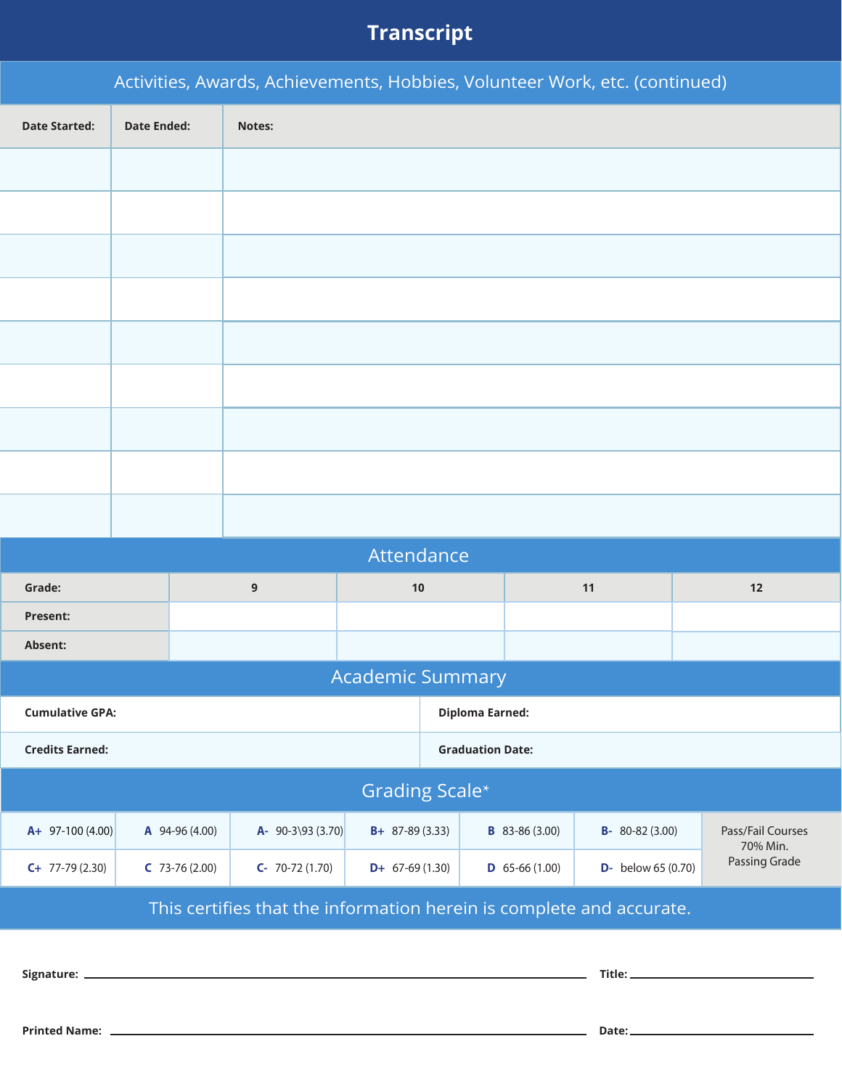## **Transcript**

|                        |                    |                  | Activities, Awards, Achievements, Hobbies, Volunteer Work, etc. (continued) |                         |                                          |                  |                               |               |
|------------------------|--------------------|------------------|-----------------------------------------------------------------------------|-------------------------|------------------------------------------|------------------|-------------------------------|---------------|
| <b>Date Started:</b>   | <b>Date Ended:</b> |                  | Notes:                                                                      |                         |                                          |                  |                               |               |
|                        |                    |                  |                                                                             |                         |                                          |                  |                               |               |
|                        |                    |                  |                                                                             |                         |                                          |                  |                               |               |
|                        |                    |                  |                                                                             |                         |                                          |                  |                               |               |
|                        |                    |                  |                                                                             |                         |                                          |                  |                               |               |
|                        |                    |                  |                                                                             |                         |                                          |                  |                               |               |
|                        |                    |                  |                                                                             |                         |                                          |                  |                               |               |
|                        |                    |                  |                                                                             |                         |                                          |                  |                               |               |
|                        |                    |                  |                                                                             |                         |                                          |                  |                               |               |
|                        |                    |                  |                                                                             |                         |                                          |                  |                               |               |
|                        |                    |                  |                                                                             | Attendance              |                                          |                  |                               |               |
| Grade:                 |                    |                  | $\boldsymbol{9}$                                                            | 10                      |                                          |                  | 11                            | $12$          |
| <b>Present:</b>        |                    |                  |                                                                             |                         |                                          |                  |                               |               |
| Absent:                |                    |                  |                                                                             |                         |                                          |                  |                               |               |
|                        |                    |                  |                                                                             | <b>Academic Summary</b> |                                          |                  |                               |               |
| <b>Cumulative GPA:</b> |                    |                  |                                                                             |                         | <b>Diploma Earned:</b>                   |                  |                               |               |
| <b>Credits Earned:</b> |                    |                  |                                                                             |                         | <b>Graduation Date:</b>                  |                  |                               |               |
|                        |                    |                  |                                                                             |                         | Grading Scale*                           |                  |                               |               |
| $A+ 97-100(4.00)$      |                    | $A$ 94-96 (4.00) | $A - 90 - 3 \93 (3.70)$                                                     | $B+ 87-89(3.33)$        | $B-80-82(3.00)$<br><b>B</b> 83-86 (3.00) |                  | Pass/Fail Courses<br>70% Min. |               |
| $C+ 77-79(2.30)$       |                    | $C$ 73-76 (2.00) | $C - 70-72(1.70)$                                                           | $D+ 67-69(1.30)$        |                                          | $D$ 65-66 (1.00) | $D-$ below 65 (0.70)          | Passing Grade |

This certifies that the information herein is complete and accurate.

**Signature:**

**Title:**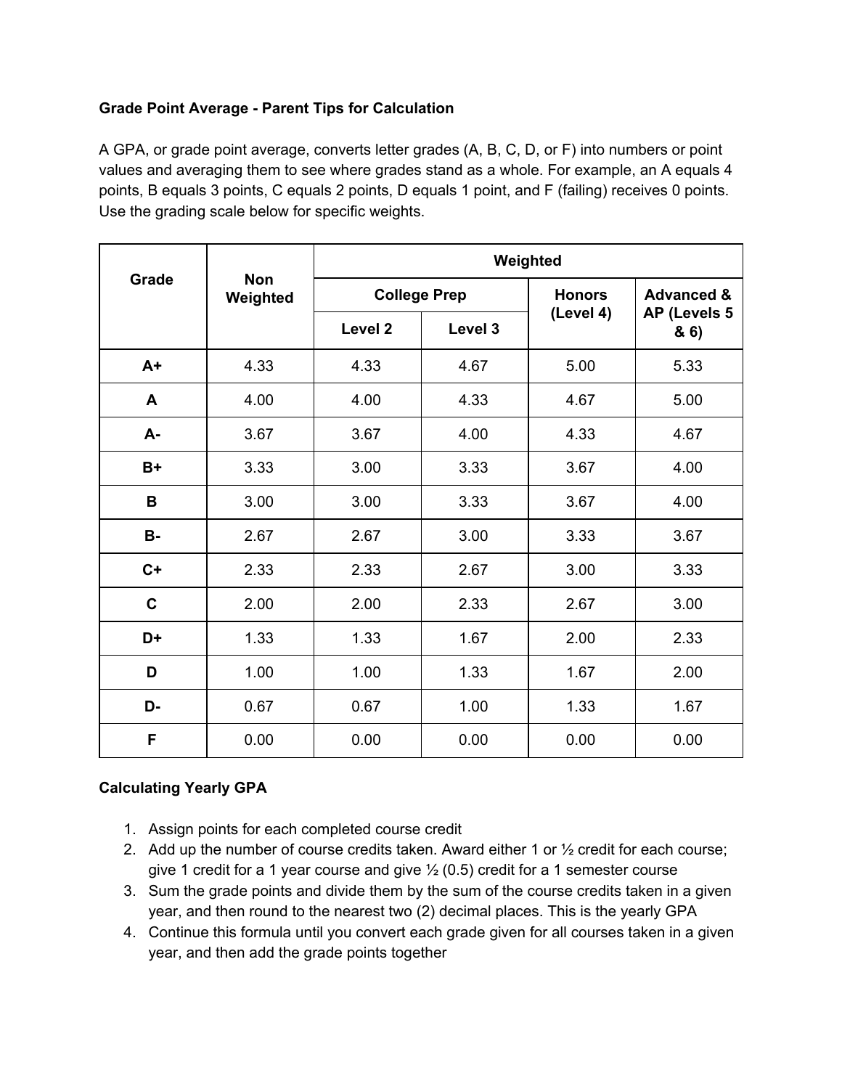### **Grade Point Average - Parent Tips for Calculation**

A GPA, or grade point average, converts letter grades (A, B, C, D, or F) into numbers or point values and averaging them to see where grades stand as a whole. For example, an A equals 4 points, B equals 3 points, C equals 2 points, D equals 1 point, and F (failing) receives 0 points. Use the grading scale below for specific weights.

| Grade       |                        | Weighted           |                     |               |                       |  |  |  |  |
|-------------|------------------------|--------------------|---------------------|---------------|-----------------------|--|--|--|--|
|             | <b>Non</b><br>Weighted |                    | <b>College Prep</b> | <b>Honors</b> | <b>Advanced &amp;</b> |  |  |  |  |
|             |                        | Level <sub>2</sub> | Level 3             | (Level 4)     | AP (Levels 5<br>8.6   |  |  |  |  |
| $A+$        | 4.33                   | 4.33               | 4.67                | 5.00          | 5.33                  |  |  |  |  |
| A           | 4.00                   | 4.00               | 4.33                | 4.67          | 5.00                  |  |  |  |  |
| A-          | 3.67                   | 3.67               | 4.00                | 4.33          | 4.67                  |  |  |  |  |
| $B+$        | 3.33                   | 3.00               | 3.33                | 3.67          | 4.00                  |  |  |  |  |
| B           | 3.00                   | 3.00               | 3.33                | 3.67          | 4.00                  |  |  |  |  |
| <b>B-</b>   | 2.67                   | 2.67               | 3.00                | 3.33          | 3.67                  |  |  |  |  |
| $C+$        | 2.33                   | 2.33               | 2.67                | 3.00          | 3.33                  |  |  |  |  |
| $\mathbf C$ | 2.00                   | 2.00               | 2.33                | 2.67          | 3.00                  |  |  |  |  |
| D+          | 1.33                   | 1.33               | 1.67                | 2.00          | 2.33                  |  |  |  |  |
| D           | 1.00                   | 1.00               | 1.33                | 1.67          | 2.00                  |  |  |  |  |
| D-          | 0.67                   | 0.67               | 1.00                | 1.33          | 1.67                  |  |  |  |  |
| F           | 0.00                   | 0.00               | 0.00                | 0.00          | 0.00                  |  |  |  |  |

### **Calculating Yearly GPA**

- 1. Assign points for each completed course credit
- 2. Add up the number of course credits taken. Award either 1 or ½ credit for each course; give 1 credit for a 1 year course and give  $\frac{1}{2}$  (0.5) credit for a 1 semester course
- 3. Sum the grade points and divide them by the sum of the course credits taken in a given year, and then round to the nearest two (2) decimal places. This is the yearly GPA
- 4. Continue this formula until you convert each grade given for all courses taken in a given year, and then add the grade points together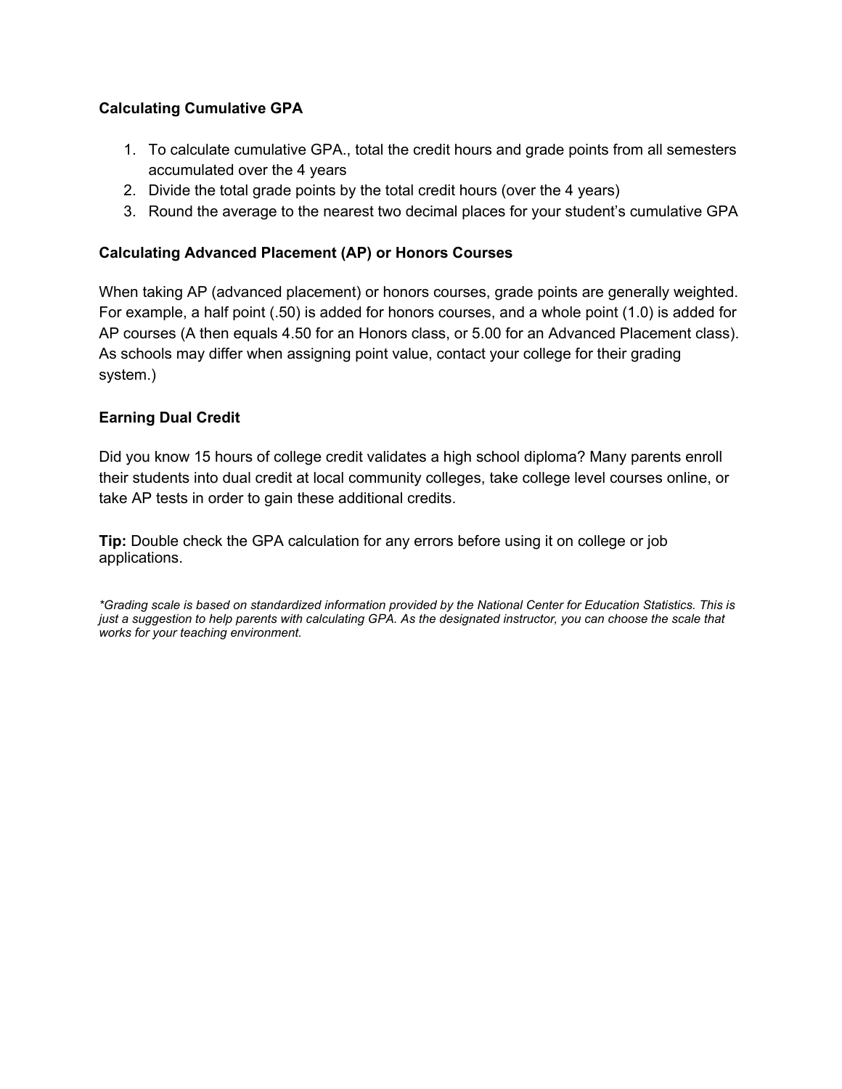#### **Calculating Cumulative GPA**

- 1. To calculate cumulative GPA., total the credit hours and grade points from all semesters accumulated over the 4 years
- 2. Divide the total grade points by the total credit hours (over the 4 years)
- 3. Round the average to the nearest two decimal places for your student's cumulative GPA

#### **Calculating Advanced Placement (AP) or Honors Courses**

When taking AP (advanced placement) or honors courses, grade points are generally weighted. For example, a half point (.50) is added for honors courses, and a whole point (1.0) is added for AP courses (A then equals 4.50 for an Honors class, or 5.00 for an Advanced Placement class). As schools may differ when assigning point value, contact your college for their grading system.)

#### **Earning Dual Credit**

Did you know 15 hours of college credit validates a high school diploma? Many parents enroll their students into dual credit at local community colleges, take college level courses online, or take AP tests in order to gain these additional credits.

**Tip:** Double check the GPA calculation for any errors before using it on college or job applications.

*\*Grading scale is based on standardized information provided by the National Center for Education Statistics. This is just a suggestion to help parents with calculating GPA. As the designated instructor, you can choose the scale that works for your teaching environment.*